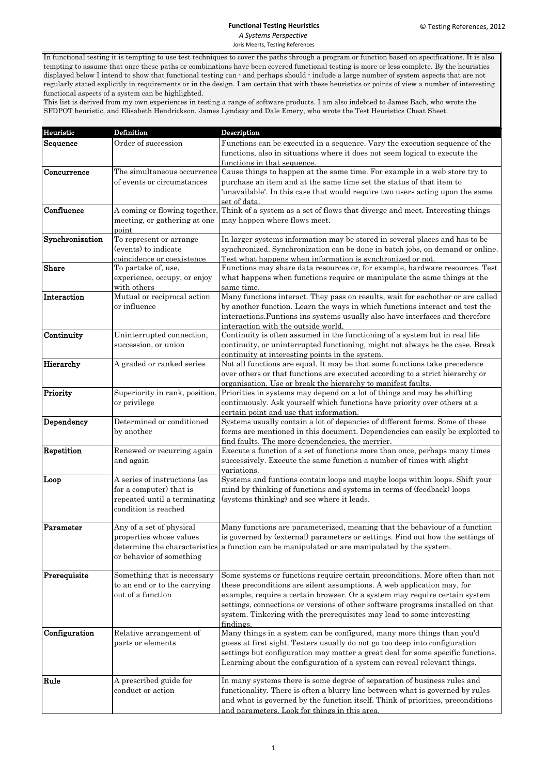## **Functional Testing Heuristics**

*A Systems Perspective* Joris Meerts, Testing References

In functional testing it is tempting to use test techniques to cover the paths through a program or function based on specifications. It is also tempting to assume that once these paths or combinations have been covered functional testing is more or less complete. By the heuristics displayed below I intend to show that functional testing can - and perhaps should - include a large number of system aspects that are not regularly stated explicitly in requirements or in the design. I am certain that with these heuristics or points of view a number of interesting functional aspects of a system can be highlighted.

This list is derived from my own experiences in testing a range of software products. I am also indebted to James Bach, who wrote the SFDPOT heuristic, and Elisabeth Hendrickson, James Lyndsay and Dale Emery, who wrote the Test Heuristics Cheat Sheet.

| Heuristic       | Definition                     | Description                                                                                                                             |
|-----------------|--------------------------------|-----------------------------------------------------------------------------------------------------------------------------------------|
| Sequence        | Order of succession            | Functions can be executed in a sequence. Vary the execution sequence of the                                                             |
|                 |                                | functions, also in situations where it does not seem logical to execute the                                                             |
|                 |                                | functions in that sequence.                                                                                                             |
| Concurrence     | The simultaneous occurrence    | Cause things to happen at the same time. For example in a web store try to                                                              |
|                 | of events or circumstances     | purchase an item and at the same time set the status of that item to                                                                    |
|                 |                                | 'unavailable'. In this case that would require two users acting upon the same                                                           |
|                 |                                | set of data.                                                                                                                            |
| Confluence      | A coming or flowing together,  | Think of a system as a set of flows that diverge and meet. Interesting things                                                           |
|                 | meeting, or gathering at one   | may happen where flows meet.                                                                                                            |
|                 | point                          |                                                                                                                                         |
| Synchronization | To represent or arrange        | In larger systems information may be stored in several places and has to be                                                             |
|                 | (events) to indicate           | synchronized. Synchronization can be done in batch jobs, on demand or online.                                                           |
|                 | coincidence or coexistence     | Test what happens when information is synchronized or not.                                                                              |
| <b>Share</b>    | To partake of, use,            | Functions may share data resources or, for example, hardware resources. Test                                                            |
|                 | experience, occupy, or enjoy   | what happens when functions require or manipulate the same things at the                                                                |
|                 | with others                    | same time.                                                                                                                              |
| Interaction     | Mutual or reciprocal action    | Many functions interact. They pass on results, wait for eachother or are called                                                         |
|                 | or influence                   |                                                                                                                                         |
|                 |                                | by another function. Learn the ways in which functions interact and test the                                                            |
|                 |                                | interactions. Funtions ins systems usually also have interfaces and therefore                                                           |
| Continuity      | Uninterrupted connection,      | interaction with the outside world.<br>Continuity is often assumed in the functioning of a system but in real life                      |
|                 |                                |                                                                                                                                         |
|                 | succession, or union           | continuity, or uninterrupted functioning, might not always be the case. Break                                                           |
| Hierarchy       | A graded or ranked series      | continuity at interesting points in the system.<br>Not all functions are equal. It may be that some functions take precedence           |
|                 |                                |                                                                                                                                         |
|                 |                                | over others or that functions are executed according to a strict hierarchy or                                                           |
|                 |                                | organisation. Use or break the hierarchy to manifest faults.<br>Priorities in systems may depend on a lot of things and may be shifting |
| Priority        | Superiority in rank, position, |                                                                                                                                         |
|                 | or privilege                   | continuously. Ask yourself which functions have priority over others at a                                                               |
| Dependency      | Determined or conditioned      | certain point and use that information.<br>Systems usually contain a lot of depencies of different forms. Some of these                 |
|                 |                                |                                                                                                                                         |
|                 | by another                     | forms are mentioned in this document. Dependencies can easily be exploited to                                                           |
| Repetition      | Renewed or recurring again     | find faults. The more dependencies, the merrier.<br>Execute a function of a set of functions more than once, perhaps many times         |
|                 | and again                      | successively. Execute the same function a number of times with slight                                                                   |
|                 |                                | variations.                                                                                                                             |
| Loop            | A series of instructions (as   | Systems and funtions contain loops and maybe loops within loops. Shift your                                                             |
|                 | for a computer) that is        | mind by thinking of functions and systems in terms of (feedback) loops                                                                  |
|                 | repeated until a terminating   | (systems thinking) and see where it leads.                                                                                              |
|                 | condition is reached           |                                                                                                                                         |
|                 |                                |                                                                                                                                         |
| Parameter       | Any of a set of physical       | Many functions are parameterized, meaning that the behaviour of a function                                                              |
|                 | properties whose values        | is governed by (external) parameters or settings. Find out how the settings of                                                          |
|                 |                                | determine the characteristics a function can be manipulated or are manipulated by the system.                                           |
|                 | or behavior of something       |                                                                                                                                         |
|                 |                                |                                                                                                                                         |
| Prerequisite    | Something that is necessary    | Some systems or functions require certain preconditions. More often than not                                                            |
|                 | to an end or to the carrying   | these preconditions are silent assumptions. A web application may, for                                                                  |
|                 | out of a function              | example, require a certain browser. Or a system may require certain system                                                              |
|                 |                                | settings, connections or versions of other software programs installed on that                                                          |
|                 |                                | system. Tinkering with the prerequisites may lead to some interesting                                                                   |
|                 |                                | findings.                                                                                                                               |
| Configuration   | Relative arrangement of        | Many things in a system can be configured, many more things than you'd                                                                  |
|                 | parts or elements              | guess at first sight. Testers usually do not go too deep into configuration                                                             |
|                 |                                | settings but configuration may matter a great deal for some specific functions.                                                         |
|                 |                                | Learning about the configuration of a system can reveal relevant things.                                                                |
|                 |                                |                                                                                                                                         |
| Rule            | A prescribed guide for         | In many systems there is some degree of separation of business rules and                                                                |
|                 | conduct or action              | functionality. There is often a blurry line between what is governed by rules                                                           |
|                 |                                | and what is governed by the function itself. Think of priorities, preconditions                                                         |
|                 |                                | <u>and parameters. Look for things in this area.</u>                                                                                    |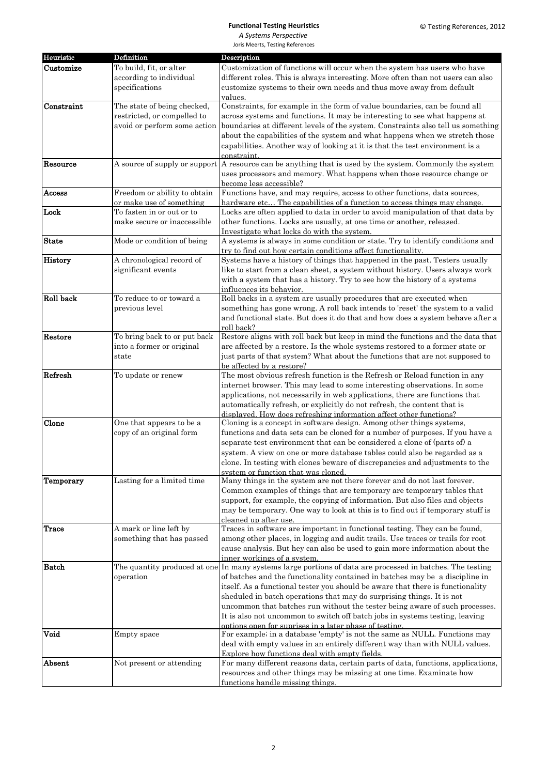## **Functional Testing Heuristics**

*A Systems Perspective* Joris Meerts, Testing References

| Heuristic    | Definition                                                | Description                                                                                                                                                   |
|--------------|-----------------------------------------------------------|---------------------------------------------------------------------------------------------------------------------------------------------------------------|
| Customize    | To build, fit, or alter                                   | Customization of functions will occur when the system has users who have                                                                                      |
|              | according to individual                                   | different roles. This is always interesting. More often than not users can also                                                                               |
|              | specifications                                            | customize systems to their own needs and thus move away from default                                                                                          |
|              |                                                           | values.                                                                                                                                                       |
| Constraint   | The state of being checked,                               | Constraints, for example in the form of value boundaries, can be found all                                                                                    |
|              | restricted, or compelled to                               | across systems and functions. It may be interesting to see what happens at                                                                                    |
|              | avoid or perform some action                              | boundaries at different levels of the system. Constraints also tell us something                                                                              |
|              |                                                           | about the capabilities of the system and what happens when we stretch those                                                                                   |
|              |                                                           | capabilities. Another way of looking at it is that the test environment is a                                                                                  |
|              |                                                           | constraint.<br>A source of supply or support $\vert A$ resource can be anything that is used by the system. Commonly the system                               |
| Resource     |                                                           |                                                                                                                                                               |
|              |                                                           | uses processors and memory. What happens when those resource change or<br>become less accessible?                                                             |
| Access       | Freedom or ability to obtain                              | Functions have, and may require, access to other functions, data sources,                                                                                     |
|              | or make use of something                                  | hardware etc The capabilities of a function to access things may change.                                                                                      |
| Lock         | To fasten in or out or to                                 | Locks are often applied to data in order to avoid manipulation of that data by                                                                                |
|              | make secure or inaccessible                               | other functions. Locks are usually, at one time or another, released.                                                                                         |
|              |                                                           | Investigate what locks do with the system.                                                                                                                    |
| <b>State</b> | Mode or condition of being                                | A systems is always in some condition or state. Try to identify conditions and                                                                                |
|              |                                                           | try to find out how certain conditions affect functionality.                                                                                                  |
| History      | A chronological record of                                 | Systems have a history of things that happened in the past. Testers usually                                                                                   |
|              | significant events                                        | like to start from a clean sheet, a system without history. Users always work                                                                                 |
|              |                                                           | with a system that has a history. Try to see how the history of a systems                                                                                     |
|              |                                                           | influences its behavior.                                                                                                                                      |
| Roll back    | To reduce to or toward a                                  | Roll backs in a system are usually procedures that are executed when                                                                                          |
|              | previous level                                            | something has gone wrong. A roll back intends to 'reset' the system to a valid                                                                                |
|              |                                                           | and functional state. But does it do that and how does a system behave after a                                                                                |
|              |                                                           | roll back?                                                                                                                                                    |
| Restore      | To bring back to or put back<br>into a former or original | Restore aligns with roll back but keep in mind the functions and the data that                                                                                |
|              | state                                                     | are affected by a restore. Is the whole systems restored to a former state or<br>just parts of that system? What about the functions that are not supposed to |
|              |                                                           | be affected by a restore?                                                                                                                                     |
| Refresh      | To update or renew                                        | The most obvious refresh function is the Refresh or Reload function in any                                                                                    |
|              |                                                           | internet browser. This may lead to some interesting observations. In some                                                                                     |
|              |                                                           | applications, not necessarily in web applications, there are functions that                                                                                   |
|              |                                                           | automatically refresh, or explicitly do not refresh, the content that is                                                                                      |
|              |                                                           | displayed. How does refreshing information affect other functions?                                                                                            |
| Clone        | One that appears to be a                                  | Cloning is a concept in software design. Among other things systems,                                                                                          |
|              | copy of an original form                                  | functions and data sets can be cloned for a number of purposes. If you have a                                                                                 |
|              |                                                           | separate test environment that can be considered a clone of (parts of) a                                                                                      |
|              |                                                           | system. A view on one or more database tables could also be regarded as a                                                                                     |
|              |                                                           | clone. In testing with clones beware of discrepancies and adjustments to the                                                                                  |
|              |                                                           | system or function that was cloned<br>Many things in the system are not there forever and do not last forever.                                                |
| Temporary    | Lasting for a limited time                                | Common examples of things that are temporary are temporary tables that                                                                                        |
|              |                                                           | support, for example, the copying of information. But also files and objects                                                                                  |
|              |                                                           | may be temporary. One way to look at this is to find out if temporary stuff is                                                                                |
|              |                                                           | cleaned up after use.                                                                                                                                         |
| Trace        | A mark or line left by                                    | Traces in software are important in functional testing. They can be found,                                                                                    |
|              | something that has passed                                 | among other places, in logging and audit trails. Use traces or trails for root                                                                                |
|              |                                                           | cause analysis. But hey can also be used to gain more information about the                                                                                   |
|              |                                                           | inner workings of a system.                                                                                                                                   |
| <b>Batch</b> |                                                           | The quantity produced at one In many systems large portions of data are processed in batches. The testing                                                     |
|              | operation                                                 | of batches and the functionality contained in batches may be a discipline in                                                                                  |
|              |                                                           | itself. As a functional tester you should be aware that there is functionality                                                                                |
|              |                                                           | sheduled in batch operations that may do surprising things. It is not                                                                                         |
|              |                                                           | uncommon that batches run without the tester being aware of such processes.                                                                                   |
|              |                                                           | It is also not uncommon to switch off batch jobs in systems testing, leaving                                                                                  |
|              |                                                           | options open for suprises in a later phase of testing.                                                                                                        |
| Void         | Empty space                                               | For example; in a database 'empty' is not the same as NULL. Functions may                                                                                     |
|              |                                                           | deal with empty values in an entirely different way than with NULL values.                                                                                    |
| Absent       | Not present or attending                                  | Explore how functions deal with empty fields.<br>For many different reasons data, certain parts of data, functions, applications,                             |
|              |                                                           | resources and other things may be missing at one time. Examinate how                                                                                          |
|              |                                                           |                                                                                                                                                               |